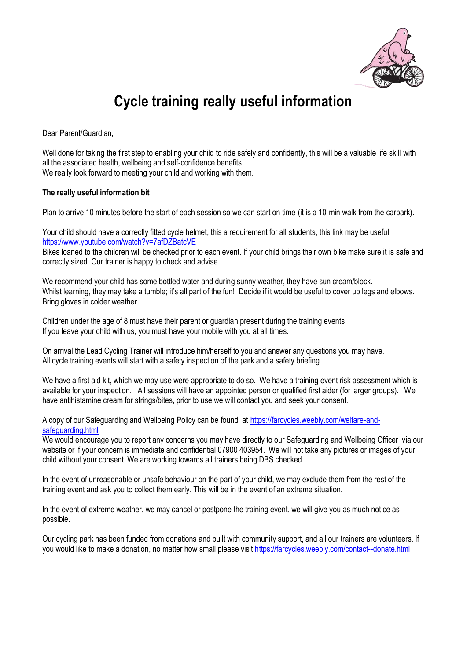

## **Cycle training really useful information**

Dear Parent/Guardian,

Well done for taking the first step to enabling your child to ride safely and confidently, this will be a valuable life skill with all the associated health, wellbeing and self-confidence benefits. We really look forward to meeting your child and working with them.

## **The really useful information bit**

Plan to arrive 10 minutes before the start of each session so we can start on time (it is a 10-min walk from the carpark).

Your child should have a correctly fitted cycle helmet, this a requirement for all students, this link may be useful <https://www.youtube.com/watch?v=7afDZBatcVE>

Bikes loaned to the children will be checked prior to each event. If your child brings their own bike make sure it is safe and correctly sized. Our trainer is happy to check and advise.

We recommend your child has some bottled water and during sunny weather, they have sun cream/block. Whilst learning, they may take a tumble; it's all part of the fun! Decide if it would be useful to cover up legs and elbows. Bring gloves in colder weather.

Children under the age of 8 must have their parent or guardian present during the training events. If you leave your child with us, you must have your mobile with you at all times.

On arrival the Lead Cycling Trainer will introduce him/herself to you and answer any questions you may have. All cycle training events will start with a safety inspection of the park and a safety briefing.

We have a first aid kit, which we may use were appropriate to do so. We have a training event risk assessment which is available for your inspection. All sessions will have an appointed person or qualified first aider (for larger groups). We have antihistamine cream for strings/bites, prior to use we will contact you and seek your consent.

A copy of our Safeguarding and Wellbeing Policy can be found at [https://farcycles.weebly.com/welfare-and](https://farcycles.weebly.com/welfare-and-safeguarding.html)[safeguarding.html](https://farcycles.weebly.com/welfare-and-safeguarding.html)

We would encourage you to report any concerns you may have directly to our Safeguarding and Wellbeing Officer via our website or if your concern is immediate and confidential 07900 403954. We will not take any pictures or images of your child without your consent. We are working towards all trainers being DBS checked.

In the event of unreasonable or unsafe behaviour on the part of your child, we may exclude them from the rest of the training event and ask you to collect them early. This will be in the event of an extreme situation.

In the event of extreme weather, we may cancel or postpone the training event, we will give you as much notice as possible.

Our cycling park has been funded from donations and built with community support, and all our trainers are volunteers. If you would like to make a donation, no matter how small please visit<https://farcycles.weebly.com/contact--donate.html>